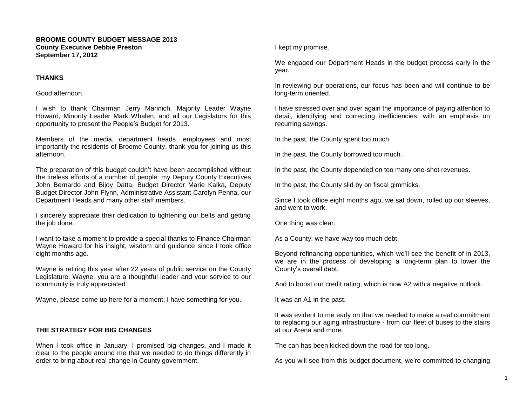#### **BROOME COUNTY BUDGET MESSAGE 2013 County Executive Debbie Preston September 17, 2012**

## **THANKS**

Good afternoon.

I wish to thank Chairman Jerry Marinich, Majority Leader Wayne Howard, Minority Leader Mark Whalen, and all our Legislators for this opportunity to present the People's Budget for 2013.

Members of the media, department heads, employees and most importantly the residents of Broome County, thank you for joining us this afternoon.

The preparation of this budget couldn't have been accomplished without the tireless efforts of a number of people: my Deputy County Executives John Bernardo and Bijoy Datta, Budget Director Marie Kalka, Deputy Budget Director John Flynn, Administrative Assistant Carolyn Penna, our Department Heads and many other staff members.

I sincerely appreciate their dedication to tightening our belts and getting the job done.

I want to take a moment to provide a special thanks to Finance Chairman Wayne Howard for his insight, wisdom and guidance since I took office eight months ago.

Wayne is retiring this year after 22 years of public service on the County Legislature. Wayne, you are a thoughtful leader and your service to our community is truly appreciated.

Wayne, please come up here for a moment; I have something for you.

# **THE STRATEGY FOR BIG CHANGES**

When I took office in January, I promised big changes, and I made it clear to the people around me that we needed to do things differently in order to bring about real change in County government.

I kept my promise.

We engaged our Department Heads in the budget process early in the year.

In reviewing our operations, our focus has been and will continue to be long-term oriented.

I have stressed over and over again the importance of paying attention to detail, identifying and correcting inefficiencies, with an emphasis on recurring savings.

In the past, the County spent too much.

In the past, the County borrowed too much.

In the past, the County depended on too many one-shot revenues.

In the past, the County slid by on fiscal gimmicks.

Since I took office eight months ago, we sat down, rolled up our sleeves, and went to work.

One thing was clear.

As a County, we have way too much debt.

Beyond refinancing opportunities, which we'll see the benefit of in 2013, we are in the process of developing a long-term plan to lower the County's overall debt.

And to boost our credit rating, which is now A2 with a negative outlook.

It was an A1 in the past.

It was evident to me early on that we needed to make a real commitment to replacing our aging infrastructure - from our fleet of buses to the stairs at our Arena and more.

The can has been kicked down the road for too long.

As you will see from this budget document, we're committed to changing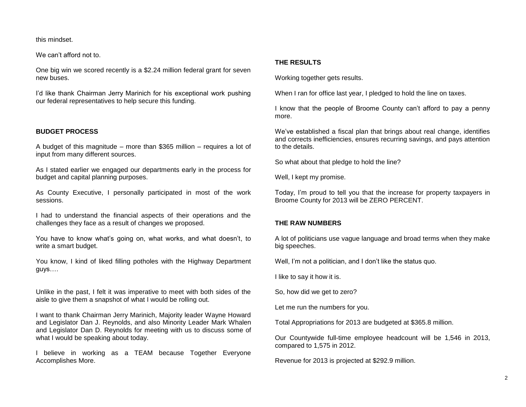this mindset.

We can't afford not to.

One big win we scored recently is a \$2.24 million federal grant for seven new buses.

I'd like thank Chairman Jerry Marinich for his exceptional work pushing our federal representatives to help secure this funding.

## **BUDGET PROCESS**

A budget of this magnitude – more than \$365 million – requires a lot of input from many different sources.

As I stated earlier we engaged our departments early in the process for budget and capital planning purposes.

As County Executive, I personally participated in most of the work sessions.

I had to understand the financial aspects of their operations and the challenges they face as a result of changes we proposed.

You have to know what's going on, what works, and what doesn't, to write a smart budget.

You know, I kind of liked filling potholes with the Highway Department guys….

Unlike in the past, I felt it was imperative to meet with both sides of the aisle to give them a snapshot of what I would be rolling out.

I want to thank Chairman Jerry Marinich, Majority leader Wayne Howard and Legislator Dan J. Reynolds, and also Minority Leader Mark Whalen and Legislator Dan D. Reynolds for meeting with us to discuss some of what I would be speaking about today.

I believe in working as a TEAM because Together Everyone Accomplishes More.

## **THE RESULTS**

Working together gets results.

When I ran for office last year, I pledged to hold the line on taxes.

I know that the people of Broome County can't afford to pay a penny more.

We've established a fiscal plan that brings about real change, identifies and corrects inefficiencies, ensures recurring savings, and pays attention to the details.

So what about that pledge to hold the line?

Well, I kept my promise.

Today, I'm proud to tell you that the increase for property taxpayers in Broome County for 2013 will be ZERO PERCENT.

## **THE RAW NUMBERS**

A lot of politicians use vague language and broad terms when they make big speeches.

Well, I'm not a politician, and I don't like the status quo.

I like to say it how it is.

So, how did we get to zero?

Let me run the numbers for you.

Total Appropriations for 2013 are budgeted at \$365.8 million.

Our Countywide full-time employee headcount will be 1,546 in 2013, compared to 1,575 in 2012.

Revenue for 2013 is projected at \$292.9 million.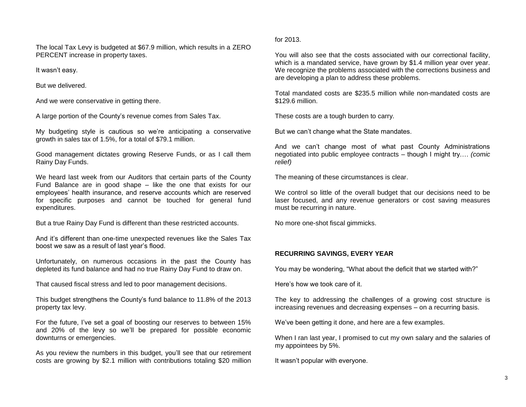The local Tax Levy is budgeted at \$67.9 million, which results in a ZERO PERCENT increase in property taxes.

It wasn't easy.

But we delivered.

And we were conservative in getting there.

A large portion of the County's revenue comes from Sales Tax.

My budgeting style is cautious so we're anticipating a conservative growth in sales tax of 1.5%, for a total of \$79.1 million.

Good management dictates growing Reserve Funds, or as I call them Rainy Day Funds.

We heard last week from our Auditors that certain parts of the County Fund Balance are in good shape – like the one that exists for our employees' health insurance, and reserve accounts which are reserved for specific purposes and cannot be touched for general fund expenditures.

But a true Rainy Day Fund is different than these restricted accounts.

And it's different than one-time unexpected revenues like the Sales Tax boost we saw as a result of last year's flood.

Unfortunately, on numerous occasions in the past the County has depleted its fund balance and had no true Rainy Day Fund to draw on.

That caused fiscal stress and led to poor management decisions.

This budget strengthens the County's fund balance to 11.8% of the 2013 property tax levy.

For the future, I've set a goal of boosting our reserves to between 15% and 20% of the levy so we'll be prepared for possible economic downturns or emergencies.

As you review the numbers in this budget, you'll see that our retirement costs are growing by \$2.1 million with contributions totaling \$20 million

## for 2013.

You will also see that the costs associated with our correctional facility, which is a mandated service, have grown by \$1.4 million year over year. We recognize the problems associated with the corrections business and are developing a plan to address these problems.

Total mandated costs are \$235.5 million while non-mandated costs are \$129.6 million.

These costs are a tough burden to carry.

But we can't change what the State mandates.

And we can't change most of what past County Administrations negotiated into public employee contracts – though I might try…. *(comic relief)*

The meaning of these circumstances is clear.

We control so little of the overall budget that our decisions need to be laser focused, and any revenue generators or cost saving measures must be recurring in nature.

No more one-shot fiscal gimmicks.

# **RECURRING SAVINGS, EVERY YEAR**

You may be wondering, "What about the deficit that we started with?"

Here's how we took care of it.

The key to addressing the challenges of a growing cost structure is increasing revenues and decreasing expenses – on a recurring basis.

We've been getting it done, and here are a few examples.

When I ran last year, I promised to cut my own salary and the salaries of my appointees by 5%.

It wasn't popular with everyone.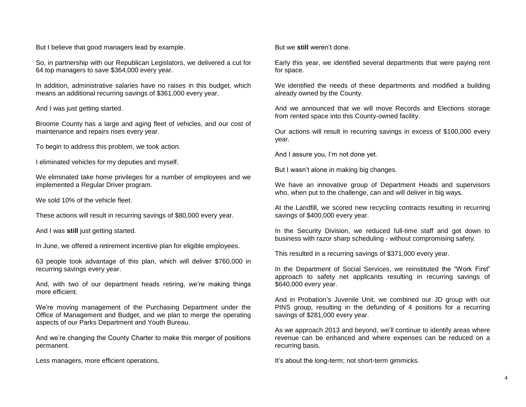But I believe that good managers lead by example.

So, in partnership with our Republican Legislators, we delivered a cut for 64 top managers to save \$364,000 every year.

In addition, administrative salaries have no raises in this budget, which means an additional recurring savings of \$361,000 every year.

And I was just getting started.

Broome County has a large and aging fleet of vehicles, and our cost of maintenance and repairs rises every year.

To begin to address this problem, we took action.

I eliminated vehicles for my deputies and myself.

We eliminated take home privileges for a number of employees and we implemented a Regular Driver program.

We sold 10% of the vehicle fleet.

These actions will result in recurring savings of \$80,000 every year.

And I was **still** just getting started.

In June, we offered a retirement incentive plan for eligible employees.

63 people took advantage of this plan, which will deliver \$760,000 in recurring savings every year.

And, with two of our department heads retiring, we're making things more efficient.

We're moving management of the Purchasing Department under the Office of Management and Budget, and we plan to merge the operating aspects of our Parks Department and Youth Bureau.

And we're changing the County Charter to make this merger of positions permanent.

Less managers, more efficient operations.

But we **still** weren't done.

Early this year, we identified several departments that were paying rent for space.

We identified the needs of these departments and modified a building already owned by the County.

And we announced that we will move Records and Elections storage from rented space into this County-owned facility.

Our actions will result in recurring savings in excess of \$100,000 every year.

And I assure you, I'm not done yet.

But I wasn't alone in making big changes.

We have an innovative group of Department Heads and supervisors who, when put to the challenge, can and will deliver in big ways.

At the Landfill, we scored new recycling contracts resulting in recurring savings of \$400,000 every year.

In the Security Division, we reduced full-time staff and got down to business with razor sharp scheduling - without compromising safety.

This resulted in a recurring savings of \$371,000 every year.

In the Department of Social Services, we reinstituted the "Work First" approach to safety net applicants resulting in recurring savings of \$640,000 every year.

And in Probation's Juvenile Unit, we combined our JD group with our PINS group, resulting in the defunding of 4 positions for a recurring savings of \$281,000 every year.

As we approach 2013 and beyond, we'll continue to identify areas where revenue can be enhanced and where expenses can be reduced on a recurring basis.

It's about the long-term; not short-term gimmicks.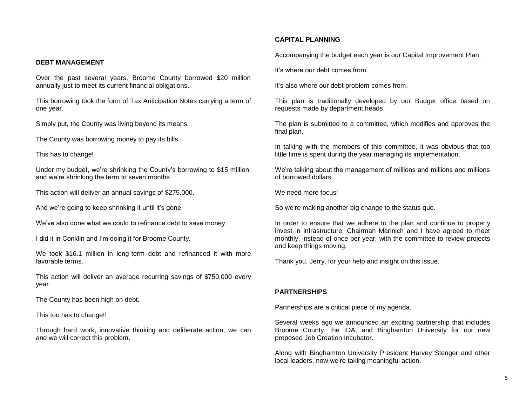#### **CAPITAL PLANNING**

Accompanying the budget each year is our Capital Improvement Plan.

It's where our debt comes from.

It's also where our debt problem comes from.

This plan is traditionally developed by our Budget office based on requests made by department heads.

The plan is submitted to a committee, which modifies and approves the final plan.

In talking with the members of this committee, it was obvious that too little time is spent during the year managing its implementation.

We're talking about the management of millions and millions and millions of borrowed dollars.

We need more focus!

So we're making another big change to the status quo.

In order to ensure that we adhere to the plan and continue to properly invest in infrastructure, Chairman Marinich and I have agreed to meet monthly, instead of once per year, with the committee to review projects and keep things moving.

Thank you, Jerry, for your help and insight on this issue.

## **PARTNERSHIPS**

Partnerships are a critical piece of my agenda.

Several weeks ago we announced an exciting partnership that includes Broome County, the IDA, and Binghamton University for our new proposed Job Creation Incubator.

Along with Binghamton University President Harvey Stenger and other local leaders, now we're taking meaningful action.

### **DEBT MANAGEMENT**

Over the past several years, Broome County borrowed \$20 million annually just to meet its current financial obligations.

This borrowing took the form of Tax Anticipation Notes carrying a term of one year.

Simply put, the County was living beyond its means.

The County was borrowing money to pay its bills.

This has to change!

Under my budget, we're shrinking the County's borrowing to \$15 million, and we're shrinking the term to seven months.

This action will deliver an annual savings of \$275,000.

And we're going to keep shrinking it until it's gone.

We've also done what we could to refinance debt to save money.

I did it in Conklin and I'm doing it for Broome County.

We took \$16.1 million in long-term debt and refinanced it with more favorable terms.

This action will deliver an average recurring savings of \$750,000 every year.

The County has been high on debt.

This too has to change!!

Through hard work, innovative thinking and deliberate action, we can and we will correct this problem.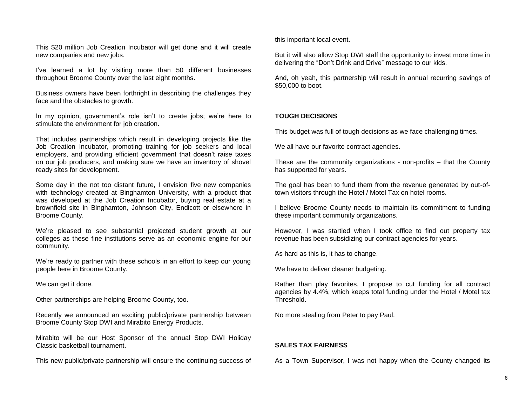This \$20 million Job Creation Incubator will get done and it will create new companies and new jobs.

I've learned a lot by visiting more than 50 different businesses throughout Broome County over the last eight months.

Business owners have been forthright in describing the challenges they face and the obstacles to growth.

In my opinion, government's role isn't to create jobs; we're here to stimulate the environment for job creation.

That includes partnerships which result in developing projects like the Job Creation Incubator, promoting training for job seekers and local employers, and providing efficient government that doesn't raise taxes on our job producers, and making sure we have an inventory of shovel ready sites for development.

Some day in the not too distant future, I envision five new companies with technology created at Binghamton University, with a product that was developed at the Job Creation Incubator, buying real estate at a brownfield site in Binghamton, Johnson City, Endicott or elsewhere in Broome County.

We're pleased to see substantial projected student growth at our colleges as these fine institutions serve as an economic engine for our community.

We're ready to partner with these schools in an effort to keep our young people here in Broome County.

We can get it done.

Other partnerships are helping Broome County, too.

Recently we announced an exciting public/private partnership between Broome County Stop DWI and Mirabito Energy Products.

Mirabito will be our Host Sponsor of the annual Stop DWI Holiday Classic basketball tournament.

This new public/private partnership will ensure the continuing success of

this important local event.

But it will also allow Stop DWI staff the opportunity to invest more time in delivering the "Don't Drink and Drive" message to our kids.

And, oh yeah, this partnership will result in annual recurring savings of \$50,000 to boot.

# **TOUGH DECISIONS**

This budget was full of tough decisions as we face challenging times.

We all have our favorite contract agencies.

These are the community organizations - non-profits – that the County has supported for years.

The goal has been to fund them from the revenue generated by out-oftown visitors through the Hotel / Motel Tax on hotel rooms.

I believe Broome County needs to maintain its commitment to funding these important community organizations.

However, I was startled when I took office to find out property tax revenue has been subsidizing our contract agencies for years.

As hard as this is, it has to change.

We have to deliver cleaner budgeting.

Rather than play favorites, I propose to cut funding for all contract agencies by 4.4%, which keeps total funding under the Hotel / Motel tax Threshold.

No more stealing from Peter to pay Paul.

## **SALES TAX FAIRNESS**

As a Town Supervisor, I was not happy when the County changed its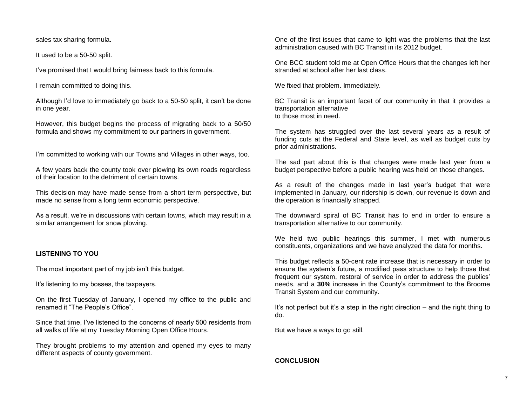sales tax sharing formula.

It used to be a 50-50 split.

I've promised that I would bring fairness back to this formula.

I remain committed to doing this.

Although I'd love to immediately go back to a 50-50 split, it can't be done in one year.

However, this budget begins the process of migrating back to a 50/50 formula and shows my commitment to our partners in government.

I'm committed to working with our Towns and Villages in other ways, too.

A few years back the county took over plowing its own roads regardless of their location to the detriment of certain towns.

This decision may have made sense from a short term perspective, but made no sense from a long term economic perspective.

As a result, we're in discussions with certain towns, which may result in a similar arrangement for snow plowing.

#### **LISTENING TO YOU**

The most important part of my job isn't this budget.

It's listening to my bosses, the taxpayers.

On the first Tuesday of January, I opened my office to the public and renamed it "The People's Office".

Since that time, I've listened to the concerns of nearly 500 residents from all walks of life at my Tuesday Morning Open Office Hours.

They brought problems to my attention and opened my eyes to many different aspects of county government.

One of the first issues that came to light was the problems that the last administration caused with BC Transit in its 2012 budget.

One BCC student told me at Open Office Hours that the changes left her stranded at school after her last class.

We fixed that problem. Immediately.

BC Transit is an important facet of our community in that it provides a transportation alternative to those most in need.

The system has struggled over the last several years as a result of funding cuts at the Federal and State level, as well as budget cuts by prior administrations.

The sad part about this is that changes were made last year from a budget perspective before a public hearing was held on those changes.

As a result of the changes made in last year's budget that were implemented in January, our ridership is down, our revenue is down and the operation is financially strapped.

The downward spiral of BC Transit has to end in order to ensure a transportation alternative to our community.

We held two public hearings this summer, I met with numerous constituents, organizations and we have analyzed the data for months.

This budget reflects a 50-cent rate increase that is necessary in order to ensure the system's future, a modified pass structure to help those that frequent our system, restoral of service in order to address the publics' needs, and a **30%** increase in the County's commitment to the Broome Transit System and our community.

It's not perfect but it's a step in the right direction – and the right thing to do.

But we have a ways to go still.

**CONCLUSION**